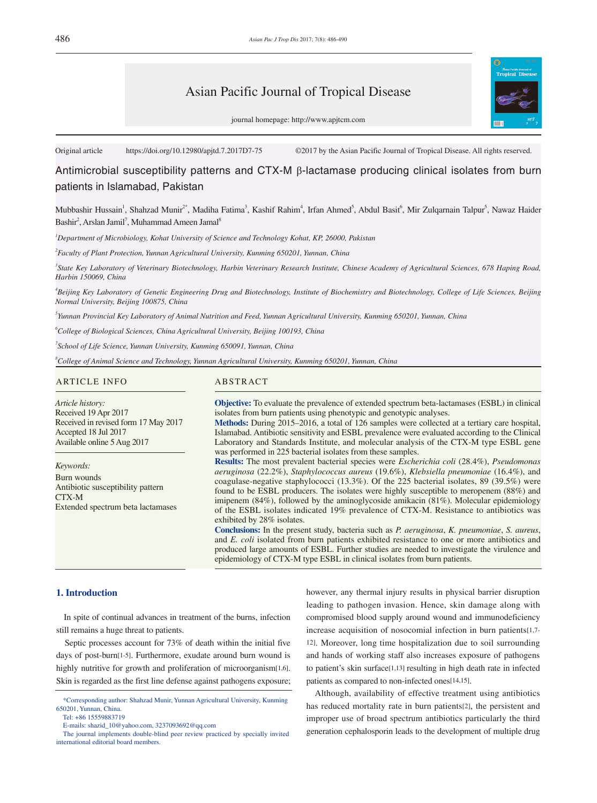# Asian Pacific Journal of Tropical Disease



journal homepage: http://www.apjtcm.com

Original article https://doi.org/10.12980/apjtd.7.2017D7-75 ©2017 by the Asian Pacific Journal of Tropical Disease. All rights reserved.

Antimicrobial susceptibility patterns and CTX-M β-lactamase producing clinical isolates from burn patients in Islamabad, Pakistan

Mubbashir Hussain<sup>1</sup>, Shahzad Munir<sup>2\*</sup>, Madiha Fatima<sup>3</sup>, Kashif Rahim<sup>4</sup>, Irfan Ahmed<sup>5</sup>, Abdul Basit<sup>6</sup>, Mir Zulqarnain Talpur<sup>5</sup>, Nawaz Haider Bashir<sup>2</sup>, Arslan Jamil<sup>7</sup>, Muhammad Ameen Jamal<sup>8</sup>

*1 Department of Microbiology, Kohat University of Science and Technology Kohat, KP, 26000, Pakistan*

*2 Faculty of Plant Protection, Yunnan Agricultural University, Kunming 650201, Yunnan, China*

<sup>3</sup> State Key Laboratory of Veterinary Biotechnology, Harbin Veterinary Research Institute, Chinese Academy of Agricultural Sciences, 678 Haping Road, *Harbin 150069, China*

*4 Beijing Key Laboratory of Genetic Engineering Drug and Biotechnology, Institute of Biochemistry and Biotechnology, College of Life Sciences, Beijing Normal University, Beijing 100875, China*

*5 Yunnan Provincial Key Laboratory of Animal Nutrition and Feed, Yunnan Agricultural University, Kunming 650201, Yunnan, China*

*6 College of Biological Sciences, China Agricultural University, Beijing 100193, China*

*7 School of Life Science, Yunnan University, Kunming 650091, Yunnan, China*

*8 College of Animal Science and Technology, Yunnan Agricultural University, Kunming 650201, Yunnan, China*

#### ARTICLE INFO ABSTRACT

*Article history:* Received 19 Apr 2017 Received in revised form 17 May 2017 Accepted 18 Jul 2017 Available online 5 Aug 2017

*Keywords:* Burn wounds Antibiotic susceptibility pattern CTX-M Extended spectrum beta lactamases

**Objective:** To evaluate the prevalence of extended spectrum beta-lactamases (ESBL) in clinical isolates from burn patients using phenotypic and genotypic analyses.

**Methods:** During 2015–2016, a total of 126 samples were collected at a tertiary care hospital, Islamabad. Antibiotic sensitivity and ESBL prevalence were evaluated according to the Clinical Laboratory and Standards Institute, and molecular analysis of the CTX-M type ESBL gene was performed in 225 bacterial isolates from these samples.

**Results:** The most prevalent bacterial species were *Escherichia coli* (28.4%), *Pseudomonas aeruginosa* (22.2%), *Staphylococcus aureus* (19.6%), *Klebsiella pneumoniae* (16.4%), and coagulase-negative staphylococci (13.3%). Of the 225 bacterial isolates, 89 (39.5%) were found to be ESBL producers. The isolates were highly susceptible to meropenem (88%) and imipenem (84%), followed by the aminoglycoside amikacin (81%). Molecular epidemiology of the ESBL isolates indicated 19% prevalence of CTX-M. Resistance to antibiotics was exhibited by 28% isolates.

**Conclusions:** In the present study, bacteria such as *P. aeruginosa*, *K. pneumoniae*, *S. aureus*, and *E. coli* isolated from burn patients exhibited resistance to one or more antibiotics and produced large amounts of ESBL. Further studies are needed to investigate the virulence and epidemiology of CTX-M type ESBL in clinical isolates from burn patients.

#### **1. Introduction**

 In spite of continual advances in treatment of the burns, infection still remains a huge threat to patients.

 Septic processes account for 73% of death within the initial five days of post-burn[1-5]. Furthermore, exudate around burn wound is highly nutritive for growth and proliferation of microorganism[1,6]. Skin is regarded as the first line defense against pathogens exposure; however, any thermal injury results in physical barrier disruption leading to pathogen invasion. Hence, skin damage along with compromised blood supply around wound and immunodeficiency increase acquisition of nosocomial infection in burn patients[1,7- 12]. Moreover, long time hospitalization due to soil surrounding and hands of working staff also increases exposure of pathogens to patient's skin surface[1,13] resulting in high death rate in infected patients as compared to non-infected ones[14,15].

 Although, availability of effective treatment using antibiotics has reduced mortality rate in burn patients[2], the persistent and improper use of broad spectrum antibiotics particularly the third generation cephalosporin leads to the development of multiple drug

 <sup>\*</sup>Corresponding author: Shahzad Munir, Yunnan Agricultural University, Kunming 650201, Yunnan, China.

Tel: +86 15559883719

E-mails: shazid\_10@yahoo.com, 3237093692@qq.com

The journal implements double-blind peer review practiced by specially invited international editorial board members.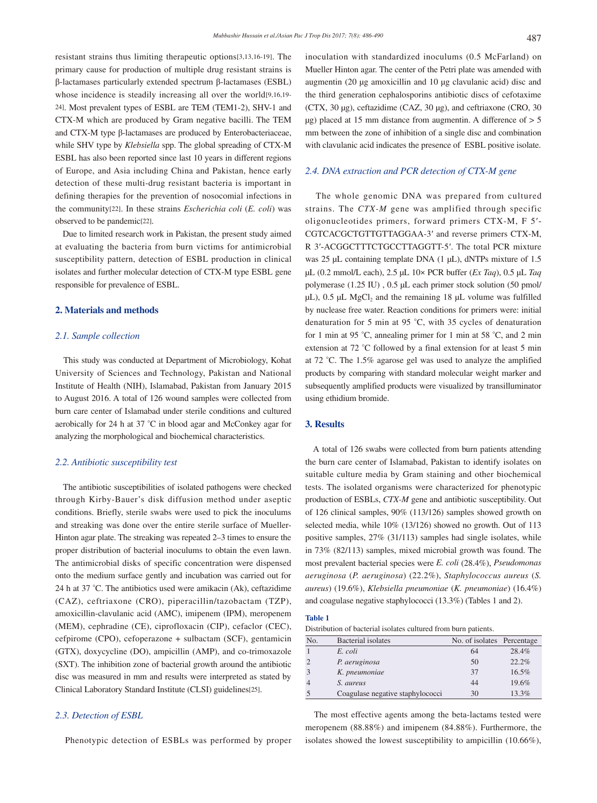resistant strains thus limiting therapeutic options[3,13,16-19]. The primary cause for production of multiple drug resistant strains is β-lactamases particularly extended spectrum β-lactamases (ESBL) whose incidence is steadily increasing all over the world[9,16,19- 24]. Most prevalent types of ESBL are TEM (TEM1-2), SHV-1 and CTX-M which are produced by Gram negative bacilli. The TEM and CTX-M type β-lactamases are produced by Enterobacteriaceae, while SHV type by *Klebsiella* spp. The global spreading of CTX-M ESBL has also been reported since last 10 years in different regions of Europe, and Asia including China and Pakistan, hence early detection of these multi-drug resistant bacteria is important in defining therapies for the prevention of nosocomial infections in the community[22]. In these strains *Escherichia coli* (*E. coli*) was observed to be pandemic[22].

 Due to limited research work in Pakistan, the present study aimed at evaluating the bacteria from burn victims for antimicrobial susceptibility pattern, detection of ESBL production in clinical isolates and further molecular detection of CTX-M type ESBL gene responsible for prevalence of ESBL.

#### **2. Materials and methods**

#### *2.1. Sample collection*

 This study was conducted at Department of Microbiology, Kohat University of Sciences and Technology, Pakistan and National Institute of Health (NIH), Islamabad, Pakistan from January 2015 to August 2016. A total of 126 wound samples were collected from burn care center of Islamabad under sterile conditions and cultured aerobically for 24 h at 37 °C in blood agar and McConkey agar for analyzing the morphological and biochemical characteristics.

### *2.2. Antibiotic susceptibility test*

 The antibiotic susceptibilities of isolated pathogens were checked through Kirby-Bauer's disk diffusion method under aseptic conditions. Briefly, sterile swabs were used to pick the inoculums and streaking was done over the entire sterile surface of Mueller-Hinton agar plate. The streaking was repeated 2–3 times to ensure the proper distribution of bacterial inoculums to obtain the even lawn. The antimicrobial disks of specific concentration were dispensed onto the medium surface gently and incubation was carried out for 24 h at 37 °C. The antibiotics used were amikacin (Ak), ceftazidime (CAZ), ceftriaxone (CRO), piperacillin/tazobactam (TZP), amoxicillin-clavulanic acid (AMC), imipenem (IPM), meropenem (MEM), cephradine (CE), ciprofloxacin (CIP), cefaclor (CEC), cefpirome (CPO), cefoperazone + sulbactam (SCF), gentamicin (GTX), doxycycline (DO), ampicillin (AMP), and co-trimoxazole (SXT). The inhibition zone of bacterial growth around the antibiotic disc was measured in mm and results were interpreted as stated by Clinical Laboratory Standard Institute (CLSI) guidelines[25].

## *2.3. Detection of ESBL*

Phenotypic detection of ESBLs was performed by proper

inoculation with standardized inoculums (0.5 McFarland) on Mueller Hinton agar. The center of the Petri plate was amended with augmentin (20 µg amoxicillin and 10 µg clavulanic acid) disc and the third generation cephalosporins antibiotic discs of cefotaxime (CTX, 30 µg), ceftazidime (CAZ, 30 µg), and ceftriaxone (CRO, 30  $\mu$ g) placed at 15 mm distance from augmentin. A difference of  $> 5$ mm between the zone of inhibition of a single disc and combination with clavulanic acid indicates the presence of ESBL positive isolate.

### *2.4. DNA extraction and PCR detection of CTX-M gene*

 The whole genomic DNA was prepared from cultured strains. The *CTX-M* gene was amplified through specific oligonucleotides primers, forward primers CTX-M, F 5′- CGTCACGCTGTTGTTAGGAA-3′ and reverse primers CTX-M, R 3′-ACGGCTTTCTGCCTTAGGTT-5′. The total PCR mixture was 25 µL containing template DNA (1 µL), dNTPs mixture of 1.5 µL (0.2 mmol/L each), 2.5 µL 10× PCR buffer (*Ex Taq*), 0.5 µL *Taq* polymerase (1.25 IU) , 0.5 µL each primer stock solution (50 pmol/  $\mu$ L), 0.5  $\mu$ L MgCl<sub>2</sub> and the remaining 18  $\mu$ L volume was fulfilled by nuclease free water. Reaction conditions for primers were: initial denaturation for 5 min at 95 °C, with 35 cycles of denaturation for 1 min at 95 °C, annealing primer for 1 min at 58 °C, and 2 min extension at 72 °C followed by a final extension for at least 5 min at 72 °C. The 1.5% agarose gel was used to analyze the amplified products by comparing with standard molecular weight marker and subsequently amplified products were visualized by transilluminator using ethidium bromide.

#### **3. Results**

 A total of 126 swabs were collected from burn patients attending the burn care center of Islamabad, Pakistan to identify isolates on suitable culture media by Gram staining and other biochemical tests. The isolated organisms were characterized for phenotypic production of ESBLs, *CTX-M* gene and antibiotic susceptibility. Out of 126 clinical samples, 90% (113/126) samples showed growth on selected media, while 10% (13/126) showed no growth. Out of 113 positive samples, 27% (31/113) samples had single isolates, while in 73% (82/113) samples, mixed microbial growth was found. The most prevalent bacterial species were *E. coli* (28.4%), *Pseudomonas aeruginosa* (*P. aeruginosa*) (22.2%), *Staphylococcus aureus* (*S. aureus*) (19.6%), *Klebsiella pneumoniae* (*K. pneumoniae*) (16.4%) and coagulase negative staphylococci (13.3%) (Tables 1 and 2).

Distribution of bacterial isolates cultured from burn patients.

| No. | Bacterial isolates               | No. of isolates Percentage |       |
|-----|----------------------------------|----------------------------|-------|
|     | E. coli                          | 64                         | 28.4% |
|     | P. aeruginosa                    | 50                         | 22.2% |
|     | K. pneumoniae                    | 37                         | 16.5% |
|     | S. aureus                        | 44                         | 19.6% |
|     | Coagulase negative staphylococci | 30                         | 13.3% |

 The most effective agents among the beta-lactams tested were meropenem (88.88%) and imipenem (84.88%). Furthermore, the isolates showed the lowest susceptibility to ampicillin (10.66%),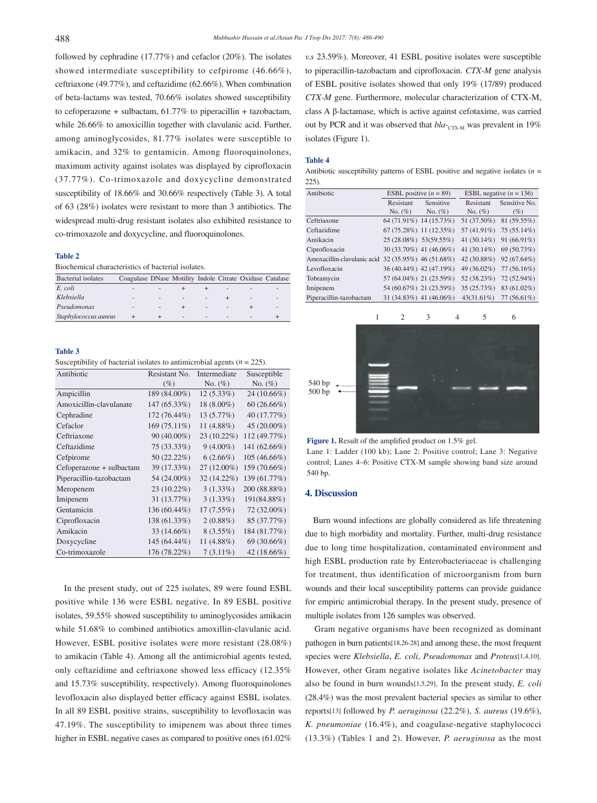followed by cephradine (17.77%) and cefaclor (20%). The isolates showed intermediate susceptibility to cefpirome (46.66%), ceftriaxone (49.77%), and ceftazidime (62.66%). When combination of beta-lactams was tested, 70.66% isolates showed susceptibility to cefoperazone + sulbactam,  $61.77\%$  to piperacillin + tazobactam, while 26.66% to amoxicillin together with clavulanic acid. Further, among aminoglycosides, 81.77% isolates were susceptible to amikacin, and 32% to gentamicin. Among fluoroquinolones, maximum activity against isolates was displayed by ciprofloxacin (37.77%). Co-trimoxazole and doxycycline demonstrated susceptibility of 18.66% and 30.66% respectively (Table 3). A total of 63 (28%) isolates were resistant to more than 3 antibiotics. The widespread multi-drug resistant isolates also exhibited resistance to co-trimoxazole and doxycycline, and fluoroquinolones.

#### **Table 2**

Biochemical characteristics of bacterial isolates.

| <b>Bacterial</b> isolates | Coagulase DNase Motility Indole Citrate Oxidase Catalase |                          |                          |                          |                          |   |  |
|---------------------------|----------------------------------------------------------|--------------------------|--------------------------|--------------------------|--------------------------|---|--|
|                           |                                                          |                          |                          |                          |                          |   |  |
| E. coli                   | $\overline{\phantom{a}}$                                 |                          |                          |                          | $\overline{\phantom{a}}$ |   |  |
| Klebsiella                |                                                          | $\overline{\phantom{a}}$ | ٠                        |                          |                          | ٠ |  |
| Pseudomonas               |                                                          |                          |                          | $\overline{\phantom{a}}$ |                          |   |  |
| Staphylococcus aureus     |                                                          |                          | $\overline{\phantom{a}}$ | $\overline{\phantom{a}}$ |                          |   |  |

#### **Table 3**

Susceptibility of bacterial isolates to antimicrobial agents  $(n = 225)$ .

| Antibiotic               | Resistant No. | <b>Intermediate</b> | Susceptible   |  |
|--------------------------|---------------|---------------------|---------------|--|
|                          | $(\%)$        | No. $(\%)$          | No. $(\%)$    |  |
| Ampicillin               | 189 (84.00%)  | $12(5.33\%)$        | $24(10.66\%)$ |  |
| Amoxicillin-clavulanate  | 147 (65.33%)  | 18 (8.00%)          | $60(26.66\%)$ |  |
| Cephradine               | 172 (76.44%)  | 13 (5.77%)          | 40 (17.77%)   |  |
| Cefaclor                 | 169 (75.11%)  | 11 (4.88%)          | 45 (20.00%)   |  |
| Ceftriaxone              | $90(40.00\%)$ | 23 (10.22%)         | 112 (49.77%)  |  |
| Ceftazidime              | 75 (33.33%)   | $9(4.00\%)$         | 141 (62.66%)  |  |
| Cefpirome                | 50 (22.22%)   | $6(2.66\%)$         | 105 (46.66%)  |  |
| Cefoperazone + sulbactam | 39 (17.33%)   | $27(12.00\%)$       | 159 (70.66%)  |  |
| Piperacillin-tazobactam  | 54 (24.00%)   | 32 (14.22%)         | 139 (61.77%)  |  |
| Meropenem                | 23 (10.22%)   | $3(1.33\%)$         | 200 (88.88%)  |  |
| Imipenem                 | 31 (13.77%)   | $3(1.33\%)$         | 191(84.88%)   |  |
| Gentamicin               | 136 (60.44%)  | 17(7.55%)           | 72 (32.00%)   |  |
| Ciprofloxacin            | 138 (61.33%)  | 2(0.88%)            | 85 (37.77%)   |  |
| Amikacin                 | 33 (14.66%)   | $8(3.55\%)$         | 184 (81.77%)  |  |
| Doxycycline              | 145 (64.44%)  | 11 (4.88%)          | 69 (30.66%)   |  |
| Co-trimoxazole           | 176 (78.22%)  | $7(3.11\%)$         | 42 (18.66%)   |  |

 In the present study, out of 225 isolates, 89 were found ESBL positive while 136 were ESBL negative. In 89 ESBL positive isolates, 59.55% showed susceptibility to aminoglycosides amikacin while 51.68% to combined antibiotics amoxillin-clavulanic acid. However, ESBL positive isolates were more resistant (28.08%) to amikacin (Table 4). Among all the antimicrobial agents tested, only ceftazidime and ceftriaxone showed less efficacy (12.35% and 15.73% susceptibility, respectively). Among fluoroquinolones levofloxacin also displayed better efficacy against ESBL isolates. In all 89 ESBL positive strains, susceptibility to levofloxacin was 47.19%. The susceptibility to imipenem was about three times higher in ESBL negative cases as compared to positive ones (61.02%

*v.s* 23.59%). Moreover, 41 ESBL positive isolates were susceptible to piperacillin-tazobactam and ciprofloxacin. *CTX-M* gene analysis of ESBL positive isolates showed that only 19% (17/89) produced *CTX-M* gene. Furthermore, molecular characterization of CTX-M, class A β-lactamase, which is active against cefotaxime, was carried out by PCR and it was observed that  $bla_{\text{CTX-M}}$  was prevalent in 19% isolates (Figure 1).

#### **Table 4**

Antibiotic susceptibility patterns of ESBL positive and negative isolates (*n* = 225).

| Antibiotic                  | ESBL positive $(n = 89)$  |                         | ESBL negative $(n = 136)$ |               |  |
|-----------------------------|---------------------------|-------------------------|---------------------------|---------------|--|
|                             | <b>Resistant</b>          | Sensitive               | Resistant                 | Sensitive No. |  |
|                             | No. $(\%)$                | No. $(\%)$              | No. $(\%)$                | $(\%)$        |  |
| Ceftriaxone                 |                           | 64 (71.91%) 14 (15.73%) | 51 (37.50%)               | 81 (59.55%)   |  |
| Ceftazidime                 | 67 (75.28%) 11 (12.35%)   |                         | 57 (41.91%)               | 75 (55.14%)   |  |
| Amikacin                    | 25 (28.08%) 53(59.55%)    |                         | 41 $(30.14\%)$            | 91 (66.91%)   |  |
| Ciprofloxacin               | 30 (33.70%) 41 (46.06%)   |                         | 41 (30.14%)               | 69 (50.73%)   |  |
| Amoxacillin-clavulanic acid | 32 (35.95%) 46 (51.68%)   |                         | 42 (30.88%)               | $92(67.64\%)$ |  |
| Levofloxacin                |                           | 36 (40.44%) 42 (47.19%) | 49 (36.02%)               | $77(56.16\%)$ |  |
| Tobramycin                  |                           | 57 (64.04%) 21 (23.59%) | 52 (38.23%)               | 72 (52.94%)   |  |
| Imipenem                    |                           | 54 (60.67%) 21 (23.59%) | 35 (25.73%)               | 83 (61.02%)   |  |
| Piperacillin-tazobactam     | $31(34.83\%)$ 41 (46.06%) |                         | 43(31.61%)                | 77 (56.61%)   |  |
|                             |                           |                         |                           |               |  |



Figure 1. Result of the amplified product on 1.5% gel. Lane 1: Ladder (100 kb); Lane 2: Positive control; Lane 3: Negative control; Lanes 4–6: Positive CTX-M sample showing band size around 540 bp.

#### **4. Discussion**

 Burn wound infections are globally considered as life threatening due to high morbidity and mortality. Further, multi-drug resistance due to long time hospitalization, contaminated environment and high ESBL production rate by Enterobacteriaceae is challenging for treatment, thus identification of microorganism from burn wounds and their local susceptibility patterns can provide guidance for empiric antimicrobial therapy. In the present study, presence of multiple isolates from 126 samples was observed.

 Gram negative organisms have been recognized as dominant pathogen in burn patients[18,26-28] and among these, the most frequent species were *Klebsiella*, *E. coli*, *Pseudomonas* and *Proteus*[1,4,10]. However, other Gram negative isolates like *Acinetobacter* may also be found in burn wounds[1,5,29]. In the present study, *E. coli* (28.4%) was the most prevalent bacterial species as similar to other reports[13] followed by *P. aeruginosa* (22.2%), *S. aureus* (19.6%), *K. pneumoniae* (16.4%), and coagulase-negative staphylococci (13.3%) (Tables 1 and 2). However, *P. aeruginosa* as the most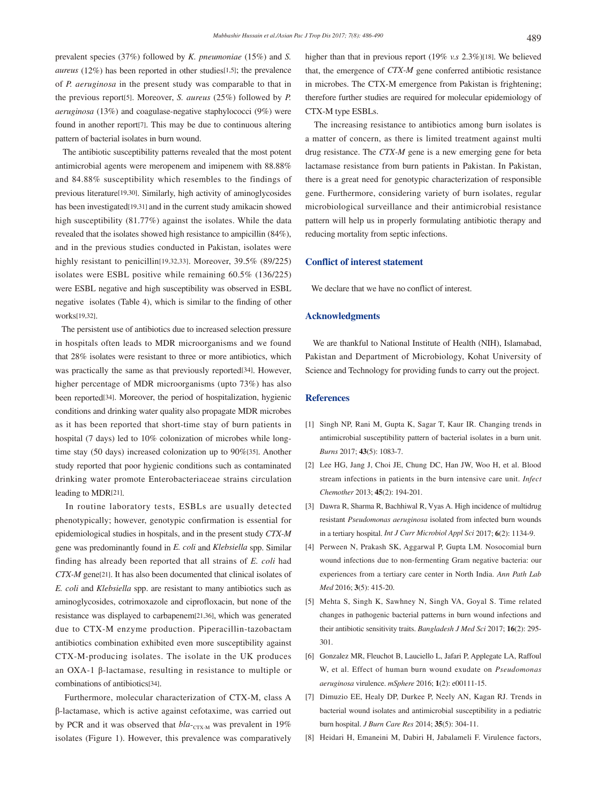prevalent species (37%) followed by *K. pneumoniae* (15%) and *S. aureus* (12%) has been reported in other studies[1,5]; the prevalence of *P. aeruginosa* in the present study was comparable to that in the previous report[5]. Moreover, *S. aureus* (25%) followed by *P. aeruginosa* (13%) and coagulase-negative staphylococci (9%) were found in another report[7]. This may be due to continuous altering pattern of bacterial isolates in burn wound.

 The antibiotic susceptibility patterns revealed that the most potent antimicrobial agents were meropenem and imipenem with 88.88% and 84.88% susceptibility which resembles to the findings of previous literature[19,30]. Similarly, high activity of aminoglycosides has been investigated[19,31] and in the current study amikacin showed high susceptibility (81.77%) against the isolates. While the data revealed that the isolates showed high resistance to ampicillin (84%), and in the previous studies conducted in Pakistan, isolates were highly resistant to penicillin<sup>[19,32,33]</sup>. Moreover, 39.5% (89/225) isolates were ESBL positive while remaining 60.5% (136/225) were ESBL negative and high susceptibility was observed in ESBL negative isolates (Table 4), which is similar to the finding of other works[19,32].

 The persistent use of antibiotics due to increased selection pressure in hospitals often leads to MDR microorganisms and we found that 28% isolates were resistant to three or more antibiotics, which was practically the same as that previously reported[34]. However, higher percentage of MDR microorganisms (upto 73%) has also been reported[34]. Moreover, the period of hospitalization, hygienic conditions and drinking water quality also propagate MDR microbes as it has been reported that short-time stay of burn patients in hospital (7 days) led to 10% colonization of microbes while longtime stay (50 days) increased colonization up to 90%[35]. Another study reported that poor hygienic conditions such as contaminated drinking water promote Enterobacteriaceae strains circulation leading to MDR[21].

 In routine laboratory tests, ESBLs are usually detected phenotypically; however, genotypic confirmation is essential for epidemiological studies in hospitals, and in the present study *CTX-M* gene was predominantly found in *E. coli* and *Klebsiella* spp. Similar finding has already been reported that all strains of *E. coli* had *CTX-M* gene[21]. It has also been documented that clinical isolates of *E. coli* and *Klebsiella* spp. are resistant to many antibiotics such as aminoglycosides, cotrimoxazole and ciprofloxacin, but none of the resistance was displayed to carbapenem[21,36], which was generated due to CTX-M enzyme production. Piperacillin-tazobactam antibiotics combination exhibited even more susceptibility against CTX-M-producing isolates. The isolate in the UK produces an OXA-1 β-lactamase, resulting in resistance to multiple or combinations of antibiotics[34].

 Furthermore, molecular characterization of CTX-M, class A β-lactamase, which is active against cefotaxime, was carried out by PCR and it was observed that  $bla_{\text{CTX-M}}$  was prevalent in 19% isolates (Figure 1). However, this prevalence was comparatively

higher than that in previous report (19% *v.s* 2.3%)[18]. We believed that, the emergence of *CTX-M* gene conferred antibiotic resistance in microbes. The CTX-M emergence from Pakistan is frightening; therefore further studies are required for molecular epidemiology of CTX-M type ESBLs.

 The increasing resistance to antibiotics among burn isolates is a matter of concern, as there is limited treatment against multi drug resistance. The *CTX-M* gene is a new emerging gene for beta lactamase resistance from burn patients in Pakistan. In Pakistan, there is a great need for genotypic characterization of responsible gene. Furthermore, considering variety of burn isolates, regular microbiological surveillance and their antimicrobial resistance pattern will help us in properly formulating antibiotic therapy and reducing mortality from septic infections.

#### **Conflict of interest statement**

We declare that we have no conflict of interest.

#### **Acknowledgments**

 We are thankful to National Institute of Health (NIH), Islamabad, Pakistan and Department of Microbiology, Kohat University of Science and Technology for providing funds to carry out the project.

#### **References**

- [1] Singh NP, Rani M, Gupta K, Sagar T, Kaur IR. Changing trends in antimicrobial susceptibility pattern of bacterial isolates in a burn unit. *Burns* 2017; **43**(5): 1083-7.
- [2] Lee HG, Jang J, Choi JE, Chung DC, Han JW, Woo H, et al. Blood stream infections in patients in the burn intensive care unit. *Infect Chemother* 2013; **45**(2): 194-201.
- [3] Dawra R, Sharma R, Bachhiwal R, Vyas A. High incidence of multidrug resistant *Pseudomonas aeruginosa* isolated from infected burn wounds in a tertiary hospital. *Int J Curr Microbiol Appl Sci* 2017; **6**(2): 1134-9.
- [4] Perween N, Prakash SK, Aggarwal P, Gupta LM. Nosocomial burn wound infections due to non-fermenting Gram negative bacteria: our experiences from a tertiary care center in North India. *Ann Path Lab Med* 2016; **3**(5): 415-20.
- [5] Mehta S, Singh K, Sawhney N, Singh VA, Goyal S. Time related changes in pathogenic bacterial patterns in burn wound infections and their antibiotic sensitivity traits. *Bangladesh J Med Sci* 2017; **16**(2): 295- 301.
- [6] Gonzalez MR, Fleuchot B, Lauciello L, Jafari P, Applegate LA, Raffoul W, et al. Effect of human burn wound exudate on *Pseudomonas aeruginosa* virulence. *mSphere* 2016; **1**(2): e00111-15.
- [7] Dimuzio EE, Healy DP, Durkee P, Neely AN, Kagan RJ. Trends in bacterial wound isolates and antimicrobial susceptibility in a pediatric burn hospital. *J Burn Care Res* 2014; **35**(5): 304-11.
- [8] Heidari H, Emaneini M, Dabiri H, Jabalameli F. Virulence factors,